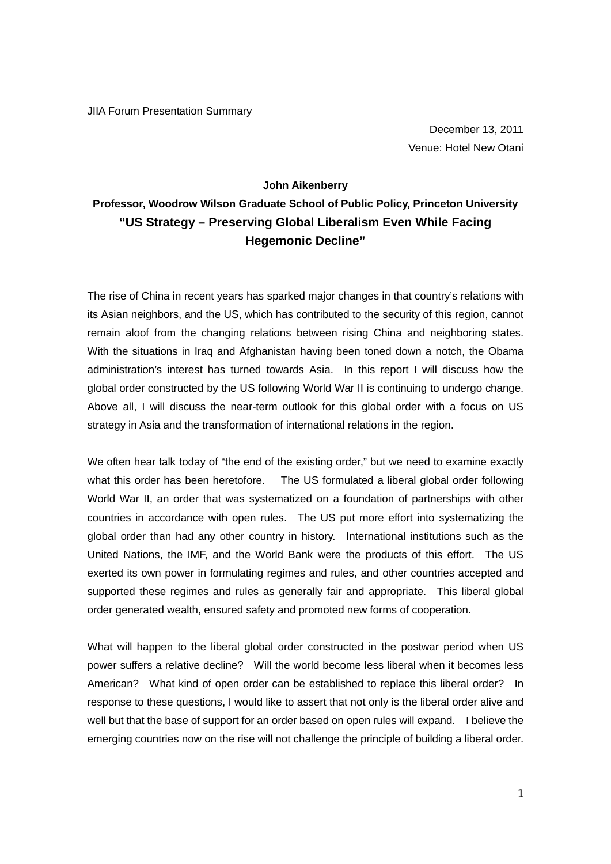JIIA Forum Presentation Summary

December 13, 2011 Venue: Hotel New Otani

## **John Aikenberry**

## **Professor, Woodrow Wilson Graduate School of Public Policy, Princeton University "US Strategy – Preserving Global Liberalism Even While Facing Hegemonic Decline"**

The rise of China in recent years has sparked major changes in that country's relations with its Asian neighbors, and the US, which has contributed to the security of this region, cannot remain aloof from the changing relations between rising China and neighboring states. With the situations in Iraq and Afghanistan having been toned down a notch, the Obama administration's interest has turned towards Asia. In this report I will discuss how the global order constructed by the US following World War II is continuing to undergo change. Above all, I will discuss the near-term outlook for this global order with a focus on US strategy in Asia and the transformation of international relations in the region.

We often hear talk today of "the end of the existing order," but we need to examine exactly what this order has been heretofore. The US formulated a liberal global order following World War II, an order that was systematized on a foundation of partnerships with other countries in accordance with open rules. The US put more effort into systematizing the global order than had any other country in history. International institutions such as the United Nations, the IMF, and the World Bank were the products of this effort. The US exerted its own power in formulating regimes and rules, and other countries accepted and supported these regimes and rules as generally fair and appropriate. This liberal global order generated wealth, ensured safety and promoted new forms of cooperation.

What will happen to the liberal global order constructed in the postwar period when US power suffers a relative decline? Will the world become less liberal when it becomes less American? What kind of open order can be established to replace this liberal order? In response to these questions, I would like to assert that not only is the liberal order alive and well but that the base of support for an order based on open rules will expand. I believe the emerging countries now on the rise will not challenge the principle of building a liberal order.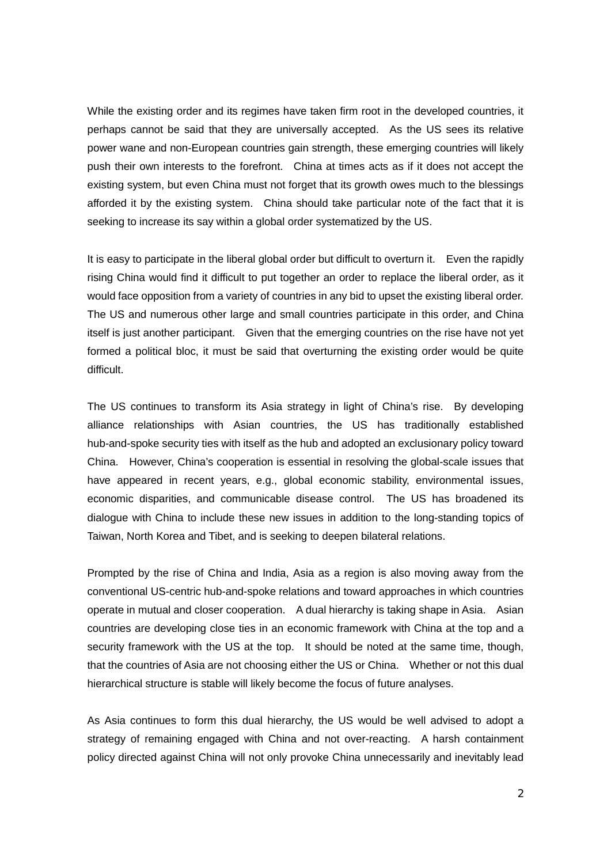While the existing order and its regimes have taken firm root in the developed countries, it perhaps cannot be said that they are universally accepted. As the US sees its relative power wane and non-European countries gain strength, these emerging countries will likely push their own interests to the forefront. China at times acts as if it does not accept the existing system, but even China must not forget that its growth owes much to the blessings afforded it by the existing system. China should take particular note of the fact that it is seeking to increase its say within a global order systematized by the US.

It is easy to participate in the liberal global order but difficult to overturn it. Even the rapidly rising China would find it difficult to put together an order to replace the liberal order, as it would face opposition from a variety of countries in any bid to upset the existing liberal order. The US and numerous other large and small countries participate in this order, and China itself is just another participant. Given that the emerging countries on the rise have not yet formed a political bloc, it must be said that overturning the existing order would be quite difficult.

The US continues to transform its Asia strategy in light of China's rise. By developing alliance relationships with Asian countries, the US has traditionally established hub-and-spoke security ties with itself as the hub and adopted an exclusionary policy toward China. However, China's cooperation is essential in resolving the global-scale issues that have appeared in recent years, e.g., global economic stability, environmental issues, economic disparities, and communicable disease control. The US has broadened its dialogue with China to include these new issues in addition to the long-standing topics of Taiwan, North Korea and Tibet, and is seeking to deepen bilateral relations.

Prompted by the rise of China and India, Asia as a region is also moving away from the conventional US-centric hub-and-spoke relations and toward approaches in which countries operate in mutual and closer cooperation. A dual hierarchy is taking shape in Asia. Asian countries are developing close ties in an economic framework with China at the top and a security framework with the US at the top. It should be noted at the same time, though, that the countries of Asia are not choosing either the US or China. Whether or not this dual hierarchical structure is stable will likely become the focus of future analyses.

As Asia continues to form this dual hierarchy, the US would be well advised to adopt a strategy of remaining engaged with China and not over-reacting. A harsh containment policy directed against China will not only provoke China unnecessarily and inevitably lead